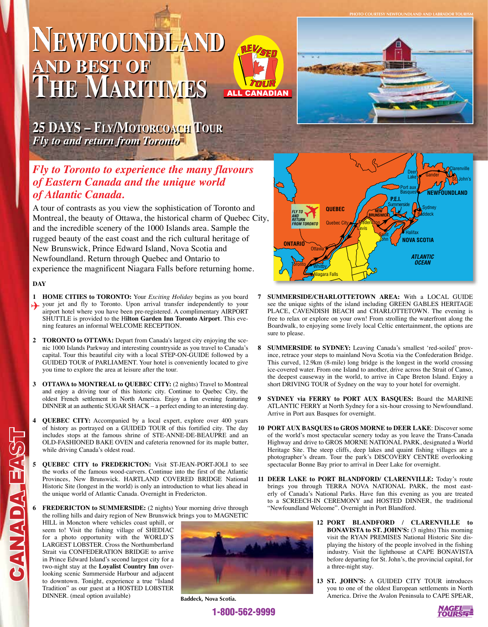# **Newfoundland AND BEST OF The Maritimes**



**25 DAYS – Fly/Motorcoach Tour** *Fly to and return from Toronto*

## *Fly to Toronto to experience the many flavours of Eastern Canada and the unique world of Atlantic Canada.*

A tour of contrasts as you view the sophistication of Toronto and Montreal, the beauty of Ottawa, the historical charm of Quebec City, and the incredible scenery of the 1000 Islands area. Sample the rugged beauty of the east coast and the rich cultural heritage of New Brunswick, Prince Edward Island, Nova Scotia and Newfoundland. Return through Quebec and Ontario to experience the magnificent Niagara Falls before returning home.

## **DAY**

CANADA EAST

**GANADA EA** 

- **1 HOME CITIES to TORONTO:** Your *Exciting Holiday* begins as you board your jet and fly to Toronto. Upon arrival transfer independently to your arrival transfer independently to your airport hotel where you have been pre-registered. A complimentary AIRPORT SHUTTLE is provided to the H**ilton Garden Inn Toronto Airport**. This evening features an informal WELCOME RECEPTION.
- **2 TORONTO to OTTAWA:** Depart from Canada's largest city enjoying the scenic 1000 Islands Parkway and interesting countryside as you travel to Canada's capital. Tour this beautiful city with a local STEP-ON-GUIDE followed by a GUIDED TOUR of PARLIAMENT. Your hotel is conveniently located to give you time to explore the area at leisure after the tour.
- **3 OTTAWA to MONTREAL to QUEBEC CITY:** (2 nights) Travel to Montreal and enjoy a driving tour of this historic city. Continue to Quebec City, the oldest French settlement in North America. Enjoy a fun evening featuring DINNER at an authentic SUGAR SHACK – a perfect ending to an interesting day.
- **4 QUEBEC CITY:** Accompanied by a local expert, explore over 400 years of history as portrayed on a GUIDED TOUR of this fortified city. The day includes stops at the famous shrine of STE-ANNE-DE-BEAUPRE and an OLD-FASHIONED BAKE OVEN and cafeteria renowned for its maple butter, while driving Canada's oldest road.
- **5 QUEBEC CITY to FREDERICTON:** Visit ST-JEAN-PORT-JOLI to see the works of the famous wood-carvers. Continue into the first of the Atlantic Provinces, New Brunswick. HARTLAND COVERED BRIDGE National Historic Site (longest in the world) is only an introduction to what lies ahead in the unique world of Atlantic Canada. Overnight in Fredericton.
- **FREDERICTON to SUMMERSIDE:** (2 nights) Your morning drive through the rolling hills and dairy region of New Brunswick brings you to MAGNETIC

HILL in Moncton where vehicles coast uphill, or seem to! Visit the fishing village of SHEDIAC for a photo opportunity with the WORLD'S LARGEST LOBSTER. Cross the Northumberland Strait via CONFEDERATION BRIDGE to arrive in Prince Edward Island's second largest city for a two-night stay at the **Loyalist Country Inn** overlooking scenic Summerside Harbour and adjacent to downtown. Tonight, experience a true "Island Tradition" as our guest at a HOSTED LOBSTER DINNER. (meal option available)



**Baddeck, Nova Scotia.**

1-800-562-9999



**Photo Courtesy Newfoundland and Labrador Tourism**



- **7 SUMMERSIDE/CHARLOTTETOWN AREA:** With a LOCAL GUIDE see the unique sights of the island including GREEN GABLES HERITAGE PLACE, CAVENDISH BEACH and CHARLOTTETOWN. The evening is free to relax or explore on your own! From strolling the waterfront along the Boardwalk, to enjoying some lively local Celtic entertainment, the options are sure to please.
- **8 SUMMERSIDE to SYDNEY:** Leaving Canada's smallest 'red-soiled' province, retrace your steps to mainland Nova Scotia via the Confederation Bridge. This curved, 12.9km (8-mile) long bridge is the longest in the world crossing ice-covered water. From one Island to another, drive across the Strait of Canso, the deepest causeway in the world, to arrive in Cape Breton Island. Enjoy a short DRIVING TOUR of Sydney on the way to your hotel for overnight.
- **9 SYDNEY via FERRY to PORT AUX BASQUES:** Board the MARINE ATLANTIC FERRY at North Sydney for a six-hour crossing to Newfoundland. Arrive in Port aux Basques for overnight.
- **10 PORT AUX BASQUES to GROS MORNE to DEER LAKE**: Discover some of the world's most spectacular scenery today as you leave the Trans-Canada Highway and drive to GROS MORNE NATIONAL PARK, designated a World Heritage Site. The steep cliffs, deep lakes and quaint fishing villages are a photographer's dream. Tour the park's DISCOVERY CENTRE overlooking spectacular Bonne Bay prior to arrival in Deer Lake for overnight.
- **11 DEER LAKE to PORT BLANDFORD/ CLARENVILLE:** Today's route brings you through TERRA NOVA NATIONAL PARK, the most easterly of Canada's National Parks. Have fun this evening as you are treated to a SCREECH-IN CEREMONY and HOSTED DINNER, the traditional "Newfoundland Welcome". Overnight in Port Blandford.
	- **12 PORT BLANDFORD / CLARENVILLE to BONAVISTA to ST. JOHN'S:** (3 nights) This morning visit the RYAN PREMISES National Historic Site displaying the history of the people involved in the fishing industry. Visit the lighthouse at CAPE BONAVISTA before departing for St. John's, the provincial capital, for a three-night stay.
	- **13 ST. JOHN'S:** A GUIDED CITY TOUR introduces you to one of the oldest European settlements in North America. Drive the Avalon Peninsula to CAPE SPEAR,